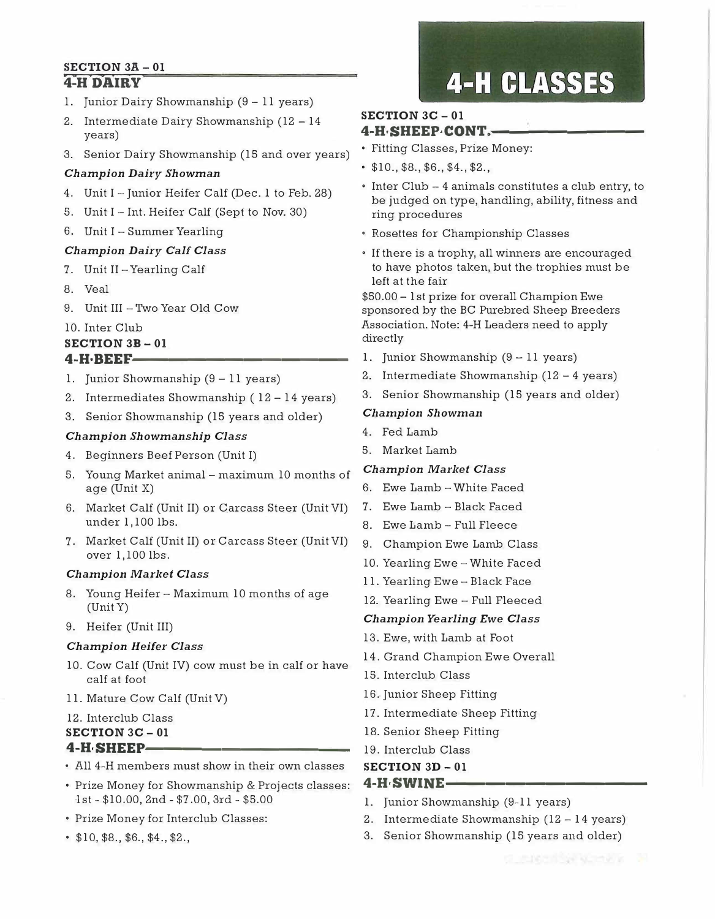#### **SECTION 3A - 01 4-H DAIRY**

- l. Junior Dairy Showmanship (9 11 years)
- 2. Intermediate Dairy Showmanship (12 14 years)
- Fitting Classes, Prize Money: 3. Senior Dairy Showmanship (15 and over years)

#### *Champion Dairy Showman*

- 4. Unit I Junior Heifer Calf (Dec. 1 to Feb. 28)
- 5. Unit I Int. Heifer Calf (Sepf to Nov. 30)
- 6. Unit I Summer Yearling

#### *Champion Dairy Calf Class*

- 7. Unit II-Yearling Calf
- 8. Veal
- 9. Unit III Two Year Old Cow

#### 10. Inter Club

#### **SECTION 3B - 01**

- **4-H·BEEF·------------**
- 1. Junior Showmanship  $(9 11$  years)
- 2. Intermediates Showmanship ( 12 14 years)
- 3. Senior Showmanship (15 years and older)

#### *Champion Showmanship Class*

- 4. Beginners Beef Person (Unit I)
- 5. Young Market animal maximum 10 months of age (Unit X)
- 6. Market Calf (Unit II) or Carcass Steer (Unit VI) under 1,100 lbs.
- 7. Market Calf (Unit II) or Carcass Steer (Unit VI) over 1,100 lbs.

#### *Champion Market Class*

- 8. Young Heifer Maximum 10 months of age (Unit Y)
- 9. Heifer (Unit III)

#### *Champion Heifer Class*

- 10. Cow Calf (Unit IV) cow must be in calf or have calf at foot
- 11. Mature Cow Calf (Unit V)
- 12. Interclub Class

#### **SECTION 3C** - **01**

#### **4-H·SHEEP-----------**

- All 4-H members must show in their own classes
- Prize Money for Showmanship & Projects classes: 1st - \$10.00, 2nd - \$7.00, 3rd - \$5.00
- Prize Money for Interclub Classes:
- \$10, \$8., \$6., \$4., \$2.,

# **4-H CLASSES**

#### **SECTION 3C - 01 4-H·SHEEP·CONT.-**

- 
- \$10., \$8., \$6., \$4., \$2.,
- Inter Club 4 animals constitutes a club entry, to be judged on type, handling, ability, fitness and ring procedures
- Rosettes for Championship Classes
- If there is a trophy, all winners are encouraged to have photos taken, but the trophies must be left at the fair

\$50.00 - 1st prize for overall Champion Ewe sponsored by the BC Purebred Sheep Breeders Association. Note: 4-H Leaders need to apply directly

- 1. Junior Showmanship (9 11 years)
- 2. Intermediate Showmanship (12 4 years)
- 3. Senior Showmanship (15 years and older)

#### *Champion Showman*

- 4. Fed Lamb
- 5. Market Lamb

#### *Champion Market Class*

- 6. Ewe Lamb -White Faced
- 7. Ewe Lamb -Black Faced
- 8. Ewe Lamb Full Fleece
- 9. Champion Ewe Lamb Class
- 10. Yearling Ewe -White Faced
- 11. Yearling Ewe Black Face
- 12. Yearling Ewe Full Fleeced

#### *Champion Yearling Ewe Class*

- 13. Ewe, with Lamb at Foot
- 14. Grand Champion Ewe Overall
- 15. Interclub Class
- 16. Junior Sheep Fitting
- 17. Intermediate Sheep Fitting
- 18. Senior Sheep Fitting
- 19. Interclub Class
- **SECTION 3D - 01**
- **4-H·SWINE----------**
- 1. Junior Showmanship (9-11 years)
- 2. Intermediate Showmanship (12 14 years)
- 3. Senior Showmanship (15 years and older)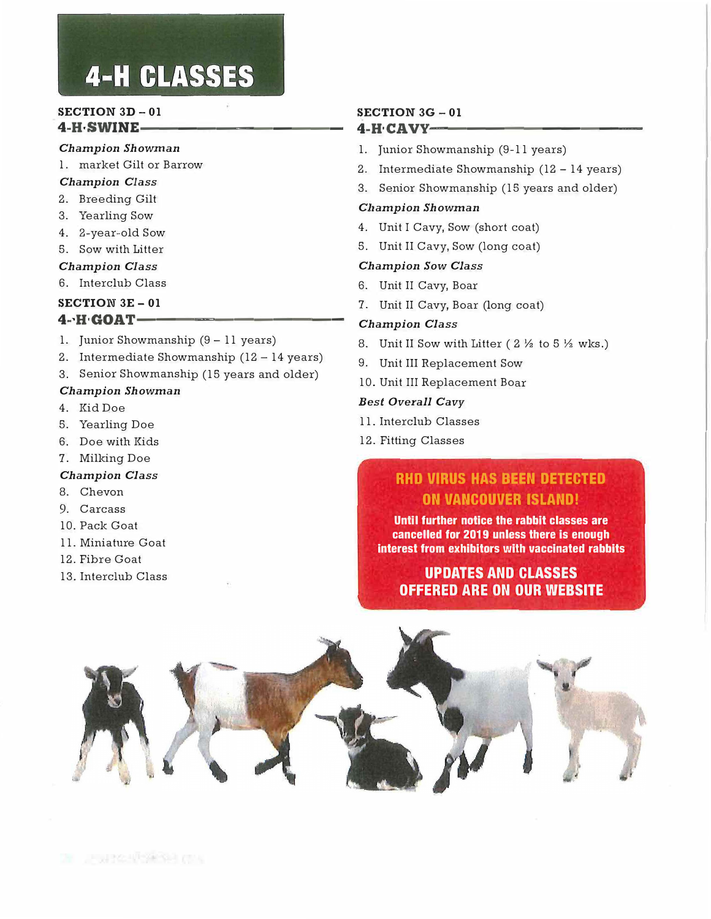# **4-H CLASSES**

#### **SECTION 3D - 01 4-H-SWINE--**

#### *Champion Showman*

l. market Gilt or Barrow

#### *Champion Class*

- 2. Breeding Gilt
- 3. Yearling Sow
- 4. 2-year-old Sow
- 5. Sow with Litter
- *Champion Class*
- 6. Interclub Class
- **SECTION 3E - 01**

#### **4-,ff·GOAT-----------**

- 1. Junior Showmanship (9 11 years)
- 2. Intermediate Showmanship (12 14 years)
- 3. Senior Showmanship (15 years and older)

#### *Champion Showman*

- 4. Kid Doe
- 5. Yearling Doe
- 6. Doe **with** Kids
- 7. Milking Doe

#### *Champion Class*

- 8. Chevon
- 9. Carcass
- 10. Pack Goat
- 11. Miniature Goat
- 12. Fibre Goat
- 13. Interclub Class

#### **SECTION 3G - 01 4-H·CAVY'-----------**

- 1. Junior Showmanship (9-11 years)
- 2. Intermediate Showmanship (12 14 years)
- 3. Senior Showmanship (15 years and older)

#### *Clzampion Showman*

- 4. Unit I Cavy, Sow (short coat)
- 5. Unit II Cavy, Sow (long coat)

#### *Champion Sow Class*

- 6. Unit II Cavy, Boar
- 7. Unit II Cavy, Boar (long coat)

#### *Champion Class*

- 8. Unit II Sow with Litter (  $2\frac{1}{2}$  to 5  $\frac{1}{2}$  wks.)
- 9. Unit III Replacement Sow
- 10. Unit III Replacement Boar

#### *Best Overall Cavy*

- 11. Interclub Classes
- 12. Fitting Classes

#### **RHO VIRUS HAS BEEN DETECTED ON VANCOUVER ISLAND!**

**Until further notice the rabbit classes are cancelled for 2019 unless there is enough interest from exhibitors with vaccinated rabbits** 

#### **UPDATES AND CLASSES OFFERED ARE ON OUR WEBSITE**

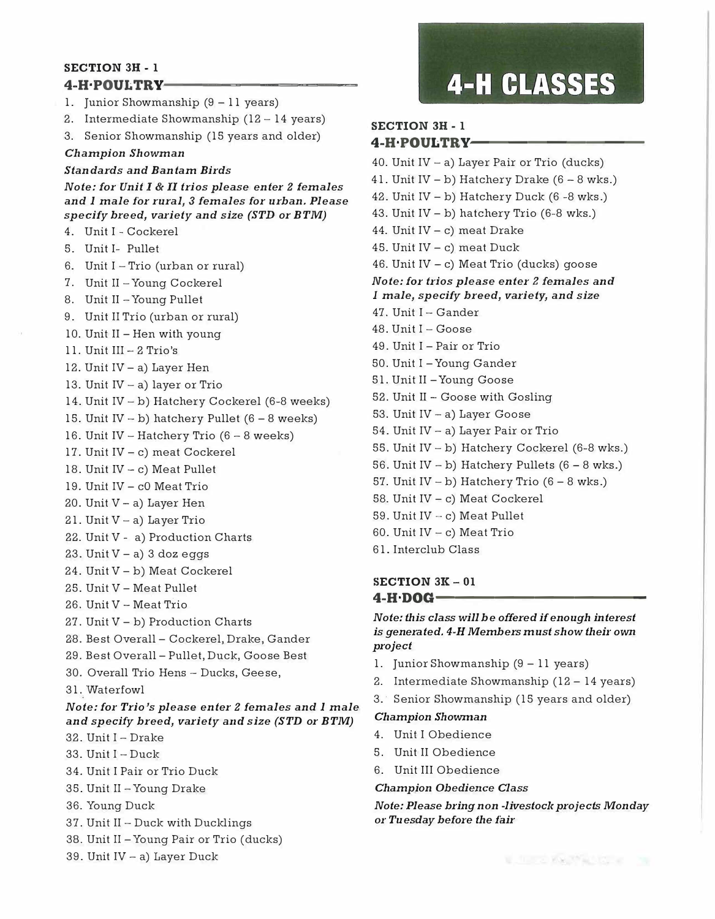#### **SECTION 3H-1** 4-H-POULTRY-

- 1. Junior Showmanship  $(9 11$  years)
- 2. Intermediate Showmanship (12 14 years)
- 3. Senior Showmanship (15 years and older)

**Champion Showman** 

#### **Standards and Bantam Birds**

Note: for Unit I & II trios please enter 2 females and I male for rural, 3 females for urban. Please specify breed, variety and size (STD or BTM)

- 4. Unit I Cockerel
- 5. Unit I- Pullet
- 6. Unit I Trio (urban or rural)
- 7. Unit II Young Cockerel
- 8. Unit II Young Pullet
- 9. Unit II Trio (urban or rural)
- 10. Unit II Hen with young
- 11. Unit  $III 2$  Trio's
- 12. Unit  $IV a$ ) Layer Hen
- 13. Unit  $IV a$ ) layer or Trio
- 14. Unit IV b) Hatchery Cockerel (6-8 weeks)
- 15. Unit IV b) hatchery Pullet  $(6 8$  weeks)
- 16. Unit IV Hatchery Trio  $(6 8$  weeks)
- 17. Unit IV c) meat Cockerel
- 18. Unit  $IV c$ ) Meat Pullet
- 19. Unit IV c0 Meat Trio
- 20. Unit V a) Layer Hen
- 21. Unit  $V a$ ) Layer Trio
- 22. Unit V a) Production Charts
- 23. Unit  $V a$ ) 3 doz eggs
- 24. Unit V b) Meat Cockerel
- 25. Unit V Meat Pullet
- 26. Unit V Meat Trio
- 27. Unit  $V b$ ) Production Charts
- 28. Best Overall Cockerel, Drake, Gander
- 29. Best Overall Pullet, Duck, Goose Best
- 30. Overall Trio Hens Ducks, Geese,
- 31. Waterfowl
- Note: for Trio's please enter 2 females and 1 male and specify breed, variety and size (STD or BTM)
- 32. Unit I Drake
- 33. Unit  $I Duck$
- 34. Unit I Pair or Trio Duck
- 35. Unit II Young Drake
- 36. Young Duck
- 37. Unit II Duck with Ducklings
- 38. Unit II Young Pair or Trio (ducks)
- 39. Unit IV a) Layer Duck

### **4-H CLASSES**

#### **SECTION 3H-1** 4-H·POULTRY-

40. Unit IV  $-$  a) Layer Pair or Trio (ducks) 41. Unit IV – b) Hatchery Drake  $(6 - 8$  wks.) 42. Unit  $IV - b$ ) Hatchery Duck (6 -8 wks.) 43. Unit IV - b) hatchery Trio (6-8 wks.) 44. Unit  $IV - c$ ) meat Drake 45. Unit  $IV - c$ ) meat Duck 46. Unit IV - c) Meat Trio (ducks) goose Note: for trios please enter 2 females and I male, specify breed, variety, and size 47. Unit I - Gander 48. Unit I - Goose 49. Unit I - Pair or Trio 50. Unit I - Young Gander 51. Unit II - Young Goose 52. Unit II - Goose with Gosling 53. Unit IV - a) Layer Goose 54. Unit IV - a) Layer Pair or Trio 55. Unit IV - b) Hatchery Cockerel (6-8 wks.) 56. Unit IV - b) Hatchery Pullets  $(6 - 8$  wks.) 57. Unit IV - b) Hatchery Trio  $(6 - 8$  wks.) 58. Unit IV - c) Meat Cockerel

- 59. Unit IV c) Meat Pullet
- 60. Unit  $IV c$ ) Meat Trio
- 61. Interclub Class

#### SECTION  $3K - 01$  $4-H\cdot DOG-$

Note: this class will be offered if enough interest is generated. 4-H Members must show their own project

- 1. Junior Showmanship  $(9 11$  years)
- 2. Intermediate Showmanship (12 14 years)
- 3. Senior Showmanship (15 years and older)

#### **Champion Showman**

- 4. Unit I Obedience
- 5. Unit II Obedience
- 6. Unit III Obedience

#### **Champion Obedience Class**

Note: Please bring non-livestock projects Monday or Tuesday before the fair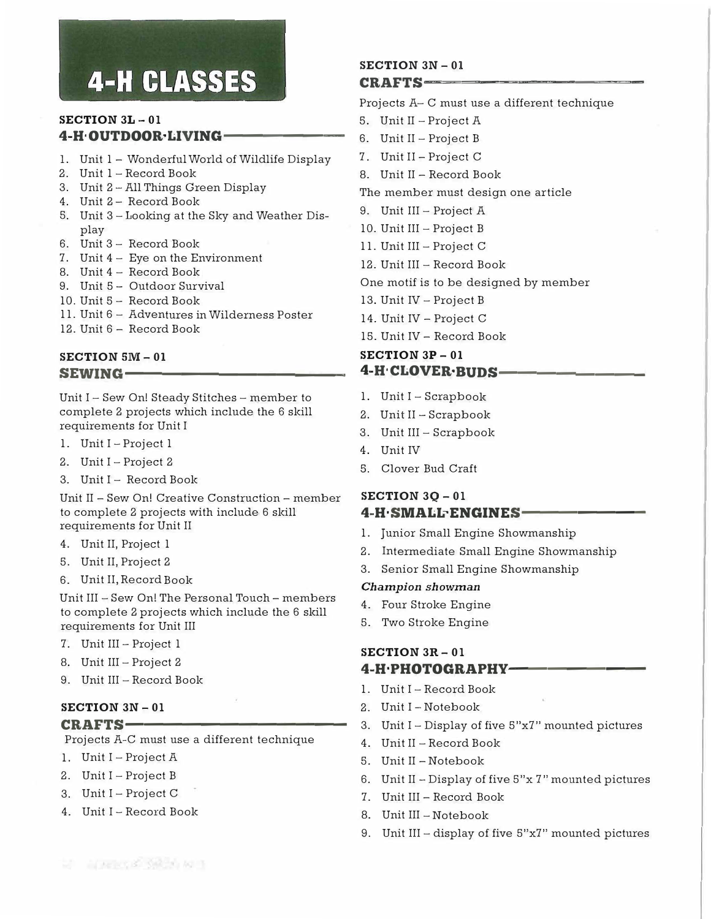# **4-H CLASSES**

#### **SECTION 3L - 01 4-H·OUTDOOR·LIVING-**

- 1. Unit 1 Wonderful World of Wildlife Display
- 2. Unit 1 Record Book
- 3. Unit 2 All Things Green Display
- 4. Unit 2- Record Book
- 5. Unit 3 Looking at the Sky and Weather Display
- 6. Unit 3 Record Book
- 7. Unit 4 Eye on the Environment
- 8. Unit 4 Record Book
- 9. Unit 5 Outdoor Survival
- 10. Unit 5 Record Book
- 11. Unit 6 Adventures in Wilderness Poster
- 12. Unit 6 Record Book

#### **SECTION SM- 01**  SEWING-

Unit I - Sew On! Steady Stitches - member to complete 2 projects which include the 6 skill requirements for Unit I

- 1. Unit I Project 1
- 2. Unit I Project 2
- 3. Unit I Record Book

Unit II - Sew On! Creative Construction - member to complete 2 projects with include 6 skill requirements for Unit II

- 4. Unit II, Project 1
- 5. Unit II, Project 2
- 6. Unit II, Record Book

Unit III - Sew On! The Personal Touch - members to complete 2 projects which include the 6 skill requirements for Unit III

- 7. Unit III Project 1
- 8. Unit III Project 2
- 9. Unit III Record Book

#### **SECTION 3N - 01 CRAFTS-**

Projects A-C must use a different technique

- 1. Unit I Project A
- 2. Unit I Project B
- 3. Unit I Project C
- 4. Unit I Record Book

#### **SECTION 3N - 01 CRAFTS---**

Projects A- C must use a different technique

- 5. Unit II Project A
- 6. Unit II Project B
- 7. Unit II Project C
- 8. Unit II Record Book
- The member must design one article
- 9. Unit III Project A
- 10. Unit III Project B
- 11. Unit III Project C
- 12. Unit III Record Book

One motif is to be designed by member

- 13. Unit IV Project B
- 14. Unit IV Project C
- 15. Unit IV Record Book

#### **SECTION 3P - 01 4-H·CLOVER·BUDS-**

- 1. Unit I Scrapbook
- 2. Unit II Scrapbook
- 3. Unit III Scrapbook
- 4. Unit IV
- 5. Clover Bud Craft

#### **SECTION 3Q- 01 4-H SMALL ENGINES-**

- 1. Junior Small Engine Showmanship
- 2. Intermediate Small Engine Showmanship
- 3. Senior Small Engine Showmanship

#### *Champion showman*

- 4. Four Stroke Engine
- 5. Two Stroke Engine

#### **SECTION 3R- 01 4-H·PHOTOGRAPHY-------**

- 1. Unit I Record Book
- 2. Unit I Notebook
- 3. Unit I Display of five 5"x7" mounted pictures
- 4. Unit II Record Book
- 5. Unit II Notebook
- 6. Unit II Display of five 5"x 7" mounted pictures
- 7. Unit III Record Book
- 8. Unit III Notebook
- 9. Unit III display of five 5"x7" mounted pictures